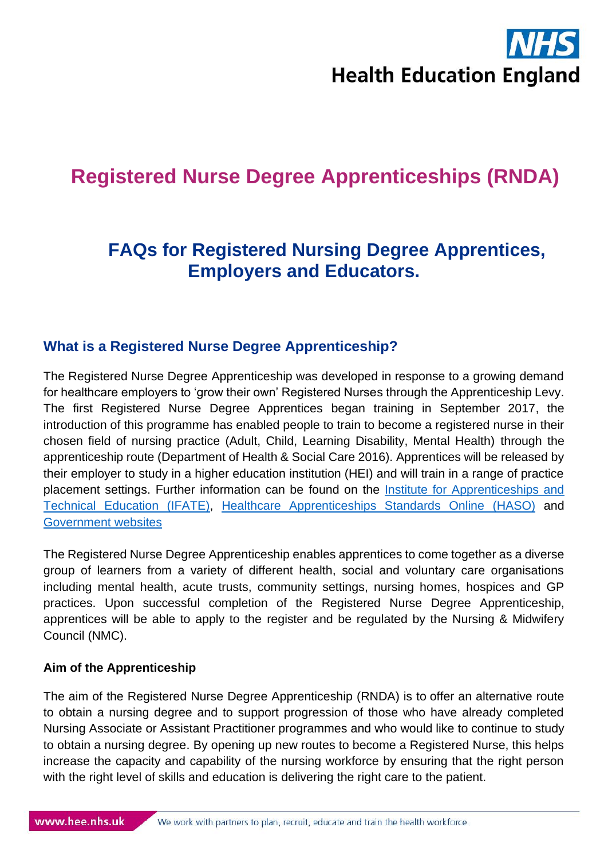# **Health Education England**

## **Registered Nurse Degree Apprenticeships (RNDA)**

### **FAQs for Registered Nursing Degree Apprentices, Employers and Educators.**

#### **What is a Registered Nurse Degree Apprenticeship?**

The Registered Nurse Degree Apprenticeship was developed in response to a growing demand for healthcare employers to 'grow their own' Registered Nurses through the Apprenticeship Levy. The first Registered Nurse Degree Apprentices began training in September 2017, the introduction of this programme has enabled people to train to become a registered nurse in their chosen field of nursing practice (Adult, Child, Learning Disability, Mental Health) through the apprenticeship route (Department of Health & Social Care 2016). Apprentices will be released by their employer to study in a higher education institution (HEI) and will train in a range of practice placement settings. Further information can be found on the [Institute for Apprenticeships and](https://www.instituteforapprenticeships.org/apprenticeship-standards/registered-nurse-degree-(nmc-2018)-v1-1)  [Technical Education \(IFATE\),](https://www.instituteforapprenticeships.org/apprenticeship-standards/registered-nurse-degree-(nmc-2018)-v1-1) [Healthcare Apprenticeships Standards Online \(HASO\)](https://haso.skillsforhealth.org.uk/) and [Government websites](https://www.gov.uk/government/publications/nursing-degree-apprenticeships-factsheet/nursing-degree-apprenticeship-factsheet)

The Registered Nurse Degree Apprenticeship enables apprentices to come together as a diverse group of learners from a variety of different health, social and voluntary care organisations including mental health, acute trusts, community settings, nursing homes, hospices and GP practices. Upon successful completion of the Registered Nurse Degree Apprenticeship, apprentices will be able to apply to the register and be regulated by the Nursing & Midwifery Council (NMC).

#### **Aim of the Apprenticeship**

The aim of the Registered Nurse Degree Apprenticeship (RNDA) is to offer an alternative route to obtain a nursing degree and to support progression of those who have already completed Nursing Associate or Assistant Practitioner programmes and who would like to continue to study to obtain a nursing degree. By opening up new routes to become a Registered Nurse, this helps increase the capacity and capability of the nursing workforce by ensuring that the right person with the right level of skills and education is delivering the right care to the patient.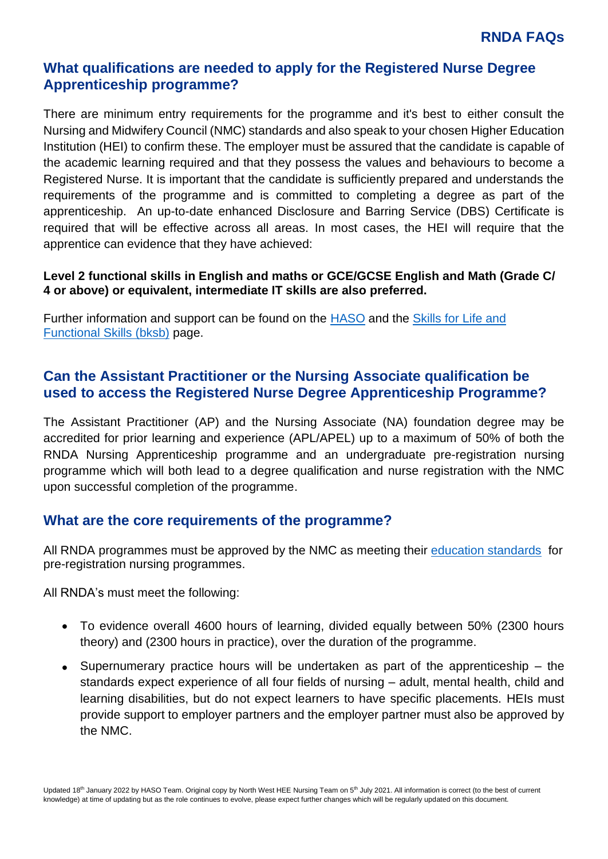#### **What qualifications are needed to apply for the Registered Nurse Degree Apprenticeship programme?**

There are minimum entry requirements for the programme and it's best to either consult the Nursing and Midwifery Council (NMC) standards and also speak to your chosen Higher Education Institution (HEI) to confirm these. The employer must be assured that the candidate is capable of the academic learning required and that they possess the values and behaviours to become a Registered Nurse. It is important that the candidate is sufficiently prepared and understands the requirements of the programme and is committed to completing a degree as part of the apprenticeship. An up-to-date enhanced Disclosure and Barring Service (DBS) Certificate is required that will be effective across all areas. In most cases, the HEI will require that the apprentice can evidence that they have achieved:

#### **Level 2 functional skills in English and maths or GCE/GCSE English and Math (Grade C/ 4 or above) or equivalent, intermediate IT skills are also preferred.**

Further information and support can be found on the [HASO](https://haso.skillsforhealth.org.uk/) and the [Skills for Life and](https://haso.skillsforhealth.org.uk/skills-for-life/)  [Functional Skills \(bksb\)](https://haso.skillsforhealth.org.uk/skills-for-life/) page.

#### **Can the Assistant Practitioner or the Nursing Associate qualification be used to access the Registered Nurse Degree Apprenticeship Programme?**

The Assistant Practitioner (AP) and the Nursing Associate (NA) foundation degree may be accredited for prior learning and experience (APL/APEL) up to a maximum of 50% of both the RNDA Nursing Apprenticeship programme and an undergraduate pre-registration nursing programme which will both lead to a degree qualification and nurse registration with the NMC upon successful completion of the programme.

#### **What are the core requirements of the programme?**

All RNDA programmes must be approved by the NMC as meeting their [education standards](https://www.nmc.org.uk/standards/standards-for-nurses/standards-for-pre-registration-nursing-programmes/) for pre-registration nursing programmes.

All RNDA's must meet the following:

- To evidence overall 4600 hours of learning, divided equally between 50% (2300 hours theory) and (2300 hours in practice), over the duration of the programme.
- Supernumerary practice hours will be undertaken as part of the apprenticeship the standards expect experience of all four fields of nursing – adult, mental health, child and learning disabilities, but do not expect learners to have specific placements. HEIs must provide support to employer partners and the employer partner must also be approved by the NMC.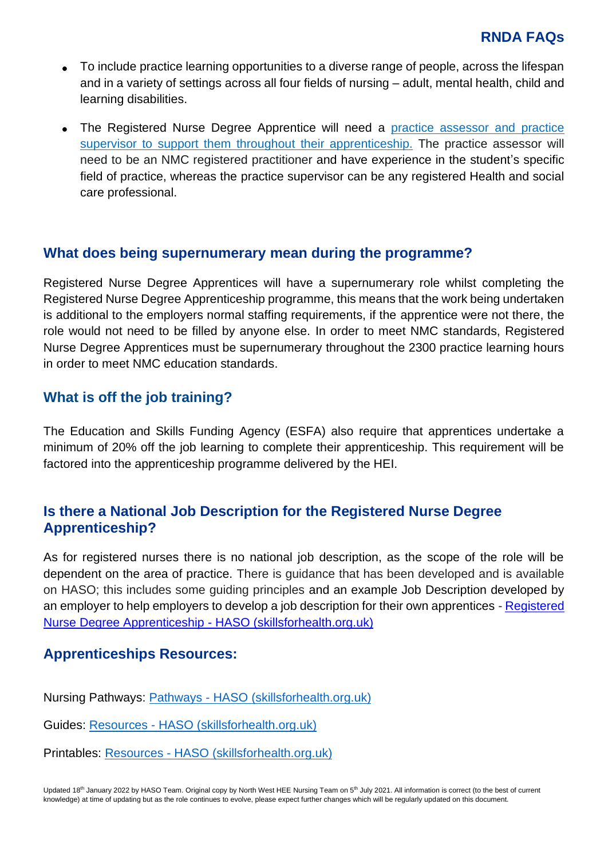- To include practice learning opportunities to a diverse range of people, across the lifespan and in a variety of settings across all four fields of nursing – adult, mental health, child and learning disabilities.
- The Registered Nurse Degree Apprentice will need a practice assessor and practice [supervisor to support them throughout their apprenticeship.](https://www.nmc.org.uk/standards-for-education-and-training/standards-for-student-supervision-and-assessment/) The practice assessor will need to be an NMC registered practitioner [and have experience in the student's specific](https://www.nmc.org.uk/standards-for-education-and-training/standards-for-student-supervision-and-assessment/)  [field of practice, whereas the practice supervisor can be any registered Health and social](https://www.nmc.org.uk/standards-for-education-and-training/standards-for-student-supervision-and-assessment/)  [care professional.](https://www.nmc.org.uk/standards-for-education-and-training/standards-for-student-supervision-and-assessment/)

#### **What does being supernumerary mean during the programme?**

Registered Nurse Degree Apprentices will have a supernumerary role whilst completing the Registered Nurse Degree Apprenticeship programme, this means that the work being undertaken is additional to the employers normal staffing requirements, if the apprentice were not there, the role would not need to be filled by anyone else. In order to meet NMC standards, Registered Nurse Degree Apprentices must be supernumerary throughout the 2300 practice learning hours in order to meet NMC education standards.

#### **What is off the job training?**

The Education and Skills Funding Agency (ESFA) also require that apprentices undertake a minimum of 20% off the job learning to complete their apprenticeship. This requirement will be factored into the apprenticeship programme delivered by the HEI.

#### **Is there a National Job Description for the Registered Nurse Degree Apprenticeship?**

As for registered nurses there is no national job description, as the scope of the role will be dependent on the area of practice. There is guidance that has been developed and is available on HASO; this includes some guiding principles and an example Job Description developed by an employer to help employers to develop a job description for their own apprentices - [Registered](https://haso.skillsforhealth.org.uk/r-n-degree-apprenticeship/#resources)  [Nurse Degree Apprenticeship -](https://haso.skillsforhealth.org.uk/r-n-degree-apprenticeship/#resources) HASO (skillsforhealth.org.uk)

#### **Apprenticeships Resources:**

Nursing Pathways: Pathways - [HASO \(skillsforhealth.org.uk\)](https://haso.skillsforhealth.org.uk/pathways/?type=2#pcat=1041)

Guides: Resources - [HASO \(skillsforhealth.org.uk\)](https://haso.skillsforhealth.org.uk/web-resources/#resourceGuides)

Printables: Resources - [HASO \(skillsforhealth.org.uk\)](https://haso.skillsforhealth.org.uk/web-resources/#resourcePrintables)